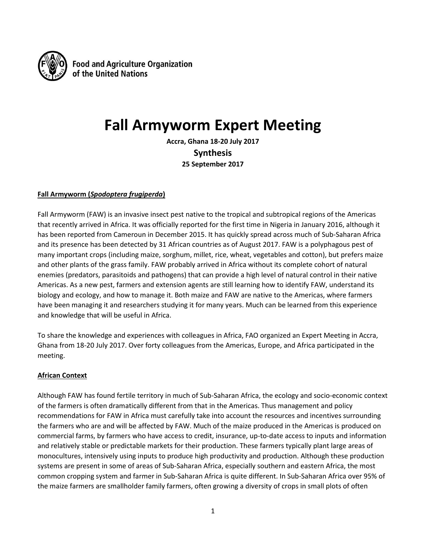

**Food and Agriculture Organization** of the United Nations

# **Fall Armyworm Expert Meeting**

**Accra, Ghana 18-20 July 2017 Synthesis 25 September 2017**

# **Fall Armyworm (***Spodoptera frugiperda***)**

Fall Armyworm (FAW) is an invasive insect pest native to the tropical and subtropical regions of the Americas that recently arrived in Africa. It was officially reported for the first time in Nigeria in January 2016, although it has been reported from Cameroun in December 2015. It has quickly spread across much of Sub-Saharan Africa and its presence has been detected by 31 African countries as of August 2017. FAW is a polyphagous pest of many important crops (including maize, sorghum, millet, rice, wheat, vegetables and cotton), but prefers maize and other plants of the grass family. FAW probably arrived in Africa without its complete cohort of natural enemies (predators, parasitoids and pathogens) that can provide a high level of natural control in their native Americas. As a new pest, farmers and extension agents are still learning how to identify FAW, understand its biology and ecology, and how to manage it. Both maize and FAW are native to the Americas, where farmers have been managing it and researchers studying it for many years. Much can be learned from this experience and knowledge that will be useful in Africa.

To share the knowledge and experiences with colleagues in Africa, FAO organized an Expert Meeting in Accra, Ghana from 18-20 July 2017. Over forty colleagues from the Americas, Europe, and Africa participated in the meeting.

## **African Context**

Although FAW has found fertile territory in much of Sub-Saharan Africa, the ecology and socio-economic context of the farmers is often dramatically different from that in the Americas. Thus management and policy recommendations for FAW in Africa must carefully take into account the resources and incentives surrounding the farmers who are and will be affected by FAW. Much of the maize produced in the Americas is produced on commercial farms, by farmers who have access to credit, insurance, up-to-date access to inputs and information and relatively stable or predictable markets for their production. These farmers typically plant large areas of monocultures, intensively using inputs to produce high productivity and production. Although these production systems are present in some of areas of Sub-Saharan Africa, especially southern and eastern Africa, the most common cropping system and farmer in Sub-Saharan Africa is quite different. In Sub-Saharan Africa over 95% of the maize farmers are smallholder family farmers, often growing a diversity of crops in small plots of often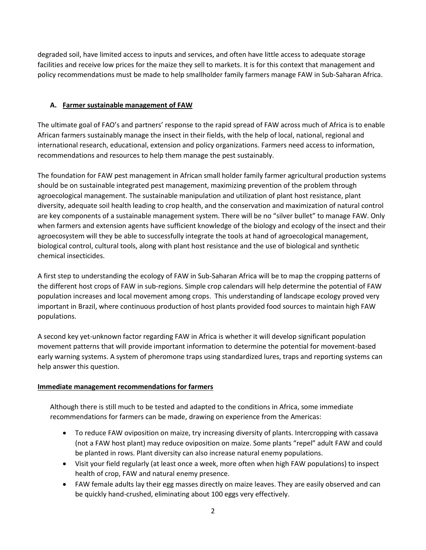degraded soil, have limited access to inputs and services, and often have little access to adequate storage facilities and receive low prices for the maize they sell to markets. It is for this context that management and policy recommendations must be made to help smallholder family farmers manage FAW in Sub-Saharan Africa.

# **A. Farmer sustainable management of FAW**

The ultimate goal of FAO's and partners' response to the rapid spread of FAW across much of Africa is to enable African farmers sustainably manage the insect in their fields, with the help of local, national, regional and international research, educational, extension and policy organizations. Farmers need access to information, recommendations and resources to help them manage the pest sustainably.

The foundation for FAW pest management in African small holder family farmer agricultural production systems should be on sustainable integrated pest management, maximizing prevention of the problem through agroecological management. The sustainable manipulation and utilization of plant host resistance, plant diversity, adequate soil health leading to crop health, and the conservation and maximization of natural control are key components of a sustainable management system. There will be no "silver bullet" to manage FAW. Only when farmers and extension agents have sufficient knowledge of the biology and ecology of the insect and their agroecosystem will they be able to successfully integrate the tools at hand of agroecological management, biological control, cultural tools, along with plant host resistance and the use of biological and synthetic chemical insecticides.

A first step to understanding the ecology of FAW in Sub-Saharan Africa will be to map the cropping patterns of the different host crops of FAW in sub-regions. Simple crop calendars will help determine the potential of FAW population increases and local movement among crops. This understanding of landscape ecology proved very important in Brazil, where continuous production of host plants provided food sources to maintain high FAW populations.

A second key yet-unknown factor regarding FAW in Africa is whether it will develop significant population movement patterns that will provide important information to determine the potential for movement-based early warning systems. A system of pheromone traps using standardized lures, traps and reporting systems can help answer this question.

## **Immediate management recommendations for farmers**

Although there is still much to be tested and adapted to the conditions in Africa, some immediate recommendations for farmers can be made, drawing on experience from the Americas:

- To reduce FAW oviposition on maize, try increasing diversity of plants. Intercropping with cassava (not a FAW host plant) may reduce oviposition on maize. Some plants "repel" adult FAW and could be planted in rows. Plant diversity can also increase natural enemy populations.
- Visit your field regularly (at least once a week, more often when high FAW populations) to inspect health of crop, FAW and natural enemy presence.
- FAW female adults lay their egg masses directly on maize leaves. They are easily observed and can be quickly hand-crushed, eliminating about 100 eggs very effectively.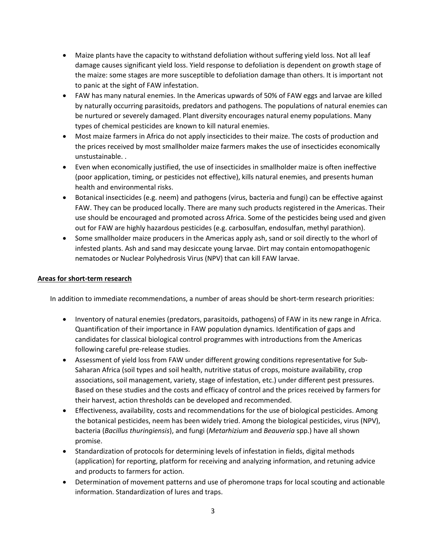- Maize plants have the capacity to withstand defoliation without suffering yield loss. Not all leaf damage causes significant yield loss. Yield response to defoliation is dependent on growth stage of the maize: some stages are more susceptible to defoliation damage than others. It is important not to panic at the sight of FAW infestation.
- FAW has many natural enemies. In the Americas upwards of 50% of FAW eggs and larvae are killed by naturally occurring parasitoids, predators and pathogens. The populations of natural enemies can be nurtured or severely damaged. Plant diversity encourages natural enemy populations. Many types of chemical pesticides are known to kill natural enemies.
- Most maize farmers in Africa do not apply insecticides to their maize. The costs of production and the prices received by most smallholder maize farmers makes the use of insecticides economically unstustainable. .
- Even when economically justified, the use of insecticides in smallholder maize is often ineffective (poor application, timing, or pesticides not effective), kills natural enemies, and presents human health and environmental risks.
- Botanical insecticides (e.g. neem) and pathogens (virus, bacteria and fungi) can be effective against FAW. They can be produced locally. There are many such products registered in the Americas. Their use should be encouraged and promoted across Africa. Some of the pesticides being used and given out for FAW are highly hazardous pesticides (e.g. carbosulfan, endosulfan, methyl parathion).
- Some smallholder maize producers in the Americas apply ash, sand or soil directly to the whorl of infested plants. Ash and sand may desiccate young larvae. Dirt may contain entomopathogenic nematodes or Nuclear Polyhedrosis Virus (NPV) that can kill FAW larvae.

## **Areas for short-term research**

In addition to immediate recommendations, a number of areas should be short-term research priorities:

- Inventory of natural enemies (predators, parasitoids, pathogens) of FAW in its new range in Africa. Quantification of their importance in FAW population dynamics. Identification of gaps and candidates for classical biological control programmes with introductions from the Americas following careful pre-release studies.
- Assessment of yield loss from FAW under different growing conditions representative for Sub-Saharan Africa (soil types and soil health, nutritive status of crops, moisture availability, crop associations, soil management, variety, stage of infestation, etc.) under different pest pressures. Based on these studies and the costs and efficacy of control and the prices received by farmers for their harvest, action thresholds can be developed and recommended.
- Effectiveness, availability, costs and recommendations for the use of biological pesticides. Among the botanical pesticides, neem has been widely tried. Among the biological pesticides, virus (NPV), bacteria (*Bacillus thuringiensis*), and fungi (*Metarhizium* and *Beauveria* spp.) have all shown promise.
- Standardization of protocols for determining levels of infestation in fields, digital methods (application) for reporting, platform for receiving and analyzing information, and retuning advice and products to farmers for action.
- Determination of movement patterns and use of pheromone traps for local scouting and actionable information. Standardization of lures and traps.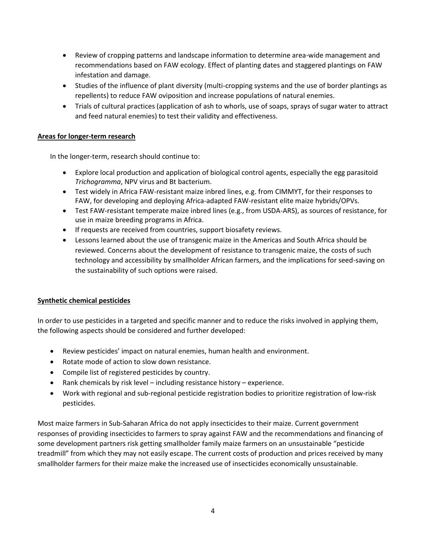- Review of cropping patterns and landscape information to determine area-wide management and recommendations based on FAW ecology. Effect of planting dates and staggered plantings on FAW infestation and damage.
- Studies of the influence of plant diversity (multi-cropping systems and the use of border plantings as repellents) to reduce FAW oviposition and increase populations of natural enemies.
- Trials of cultural practices (application of ash to whorls, use of soaps, sprays of sugar water to attract and feed natural enemies) to test their validity and effectiveness.

## **Areas for longer-term research**

In the longer-term, research should continue to:

- Explore local production and application of biological control agents, especially the egg parasitoid *Trichogramma*, NPV virus and Bt bacterium.
- Test widely in Africa FAW-resistant maize inbred lines, e.g. from CIMMYT, for their responses to FAW, for developing and deploying Africa-adapted FAW-resistant elite maize hybrids/OPVs.
- Test FAW-resistant temperate maize inbred lines (e.g., from USDA-ARS), as sources of resistance, for use in maize breeding programs in Africa.
- If requests are received from countries, support biosafety reviews.
- Lessons learned about the use of transgenic maize in the Americas and South Africa should be reviewed. Concerns about the development of resistance to transgenic maize, the costs of such technology and accessibility by smallholder African farmers, and the implications for seed-saving on the sustainability of such options were raised.

## **Synthetic chemical pesticides**

In order to use pesticides in a targeted and specific manner and to reduce the risks involved in applying them, the following aspects should be considered and further developed:

- Review pesticides' impact on natural enemies, human health and environment.
- Rotate mode of action to slow down resistance.
- Compile list of registered pesticides by country.
- Rank chemicals by risk level including resistance history experience.
- Work with regional and sub-regional pesticide registration bodies to prioritize registration of low-risk pesticides.

Most maize farmers in Sub-Saharan Africa do not apply insecticides to their maize. Current government responses of providing insecticides to farmers to spray against FAW and the recommendations and financing of some development partners risk getting smallholder family maize farmers on an unsustainable "pesticide treadmill" from which they may not easily escape. The current costs of production and prices received by many smallholder farmers for their maize make the increased use of insecticides economically unsustainable.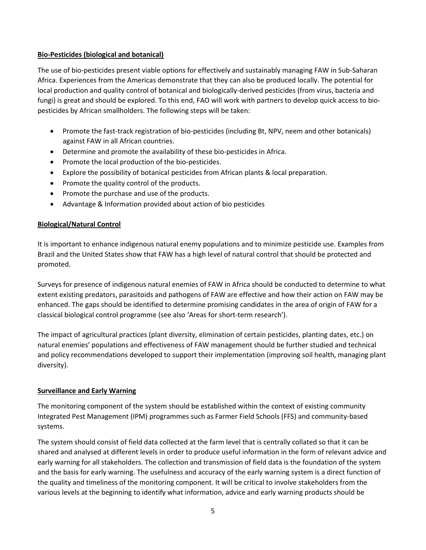#### **Bio-Pesticides (biological and botanical)**

The use of bio-pesticides present viable options for effectively and sustainably managing FAW in Sub-Saharan Africa. Experiences from the Americas demonstrate that they can also be produced locally. The potential for local production and quality control of botanical and biologically-derived pesticides (from virus, bacteria and fungi) is great and should be explored. To this end, FAO will work with partners to develop quick access to biopesticides by African smallholders. The following steps will be taken:

- Promote the fast-track registration of bio-pesticides (including Bt, NPV, neem and other botanicals) against FAW in all African countries.
- Determine and promote the availability of these bio-pesticides in Africa.
- Promote the local production of the bio-pesticides.
- Explore the possibility of botanical pesticides from African plants & local preparation.
- Promote the quality control of the products.
- Promote the purchase and use of the products.
- Advantage & Information provided about action of bio pesticides

#### **Biological/Natural Control**

It is important to enhance indigenous natural enemy populations and to minimize pesticide use. Examples from Brazil and the United States show that FAW has a high level of natural control that should be protected and promoted.

Surveys for presence of indigenous natural enemies of FAW in Africa should be conducted to determine to what extent existing predators, parasitoids and pathogens of FAW are effective and how their action on FAW may be enhanced. The gaps should be identified to determine promising candidates in the area of origin of FAW for a classical biological control programme (see also 'Areas for short-term research').

The impact of agricultural practices (plant diversity, elimination of certain pesticides, planting dates, etc.) on natural enemies' populations and effectiveness of FAW management should be further studied and technical and policy recommendations developed to support their implementation (improving soil health, managing plant diversity).

#### **Surveillance and Early Warning**

The monitoring component of the system should be established within the context of existing community Integrated Pest Management (IPM) programmes such as Farmer Field Schools (FFS) and community-based systems.

The system should consist of field data collected at the farm level that is centrally collated so that it can be shared and analysed at different levels in order to produce useful information in the form of relevant advice and early warning for all stakeholders. The collection and transmission of field data is the foundation of the system and the basis for early warning. The usefulness and accuracy of the early warning system is a direct function of the quality and timeliness of the monitoring component. It will be critical to involve stakeholders from the various levels at the beginning to identify what information, advice and early warning products should be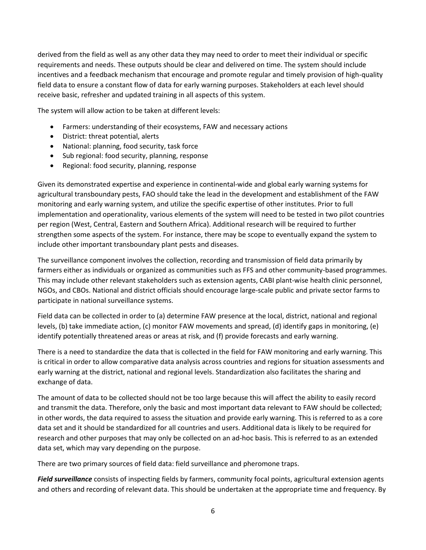derived from the field as well as any other data they may need to order to meet their individual or specific requirements and needs. These outputs should be clear and delivered on time. The system should include incentives and a feedback mechanism that encourage and promote regular and timely provision of high-quality field data to ensure a constant flow of data for early warning purposes. Stakeholders at each level should receive basic, refresher and updated training in all aspects of this system.

The system will allow action to be taken at different levels:

- Farmers: understanding of their ecosystems, FAW and necessary actions
- District: threat potential, alerts
- National: planning, food security, task force
- Sub regional: food security, planning, response
- Regional: food security, planning, response

Given its demonstrated expertise and experience in continental-wide and global early warning systems for agricultural transboundary pests, FAO should take the lead in the development and establishment of the FAW monitoring and early warning system, and utilize the specific expertise of other institutes. Prior to full implementation and operationality, various elements of the system will need to be tested in two pilot countries per region (West, Central, Eastern and Southern Africa). Additional research will be required to further strengthen some aspects of the system. For instance, there may be scope to eventually expand the system to include other important transboundary plant pests and diseases.

The surveillance component involves the collection, recording and transmission of field data primarily by farmers either as individuals or organized as communities such as FFS and other community-based programmes. This may include other relevant stakeholders such as extension agents, CABI plant-wise health clinic personnel, NGOs, and CBOs. National and district officials should encourage large-scale public and private sector farms to participate in national surveillance systems.

Field data can be collected in order to (a) determine FAW presence at the local, district, national and regional levels, (b) take immediate action, (c) monitor FAW movements and spread, (d) identify gaps in monitoring, (e) identify potentially threatened areas or areas at risk, and (f) provide forecasts and early warning.

There is a need to standardize the data that is collected in the field for FAW monitoring and early warning. This is critical in order to allow comparative data analysis across countries and regions for situation assessments and early warning at the district, national and regional levels. Standardization also facilitates the sharing and exchange of data.

The amount of data to be collected should not be too large because this will affect the ability to easily record and transmit the data. Therefore, only the basic and most important data relevant to FAW should be collected; in other words, the data required to assess the situation and provide early warning. This is referred to as a core data set and it should be standardized for all countries and users. Additional data is likely to be required for research and other purposes that may only be collected on an ad-hoc basis. This is referred to as an extended data set, which may vary depending on the purpose.

There are two primary sources of field data: field surveillance and pheromone traps.

*Field surveillance* consists of inspecting fields by farmers, community focal points, agricultural extension agents and others and recording of relevant data. This should be undertaken at the appropriate time and frequency. By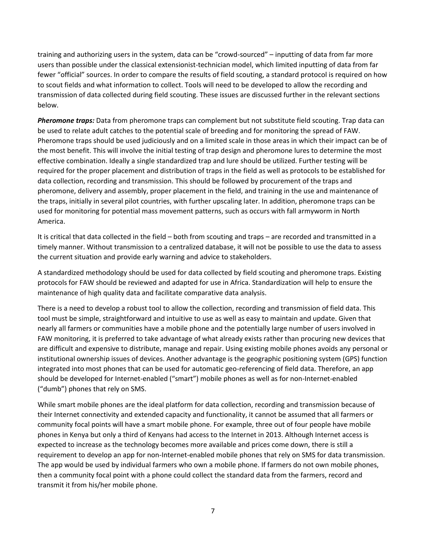training and authorizing users in the system, data can be "crowd-sourced" – inputting of data from far more users than possible under the classical extensionist-technician model, which limited inputting of data from far fewer "official" sources. In order to compare the results of field scouting, a standard protocol is required on how to scout fields and what information to collect. Tools will need to be developed to allow the recording and transmission of data collected during field scouting. These issues are discussed further in the relevant sections below.

*Pheromone traps:* Data from pheromone traps can complement but not substitute field scouting. Trap data can be used to relate adult catches to the potential scale of breeding and for monitoring the spread of FAW. Pheromone traps should be used judiciously and on a limited scale in those areas in which their impact can be of the most benefit. This will involve the initial testing of trap design and pheromone lures to determine the most effective combination. Ideally a single standardized trap and lure should be utilized. Further testing will be required for the proper placement and distribution of traps in the field as well as protocols to be established for data collection, recording and transmission. This should be followed by procurement of the traps and pheromone, delivery and assembly, proper placement in the field, and training in the use and maintenance of the traps, initially in several pilot countries, with further upscaling later. In addition, pheromone traps can be used for monitoring for potential mass movement patterns, such as occurs with fall armyworm in North America.

It is critical that data collected in the field – both from scouting and traps – are recorded and transmitted in a timely manner. Without transmission to a centralized database, it will not be possible to use the data to assess the current situation and provide early warning and advice to stakeholders.

A standardized methodology should be used for data collected by field scouting and pheromone traps. Existing protocols for FAW should be reviewed and adapted for use in Africa. Standardization will help to ensure the maintenance of high quality data and facilitate comparative data analysis.

There is a need to develop a robust tool to allow the collection, recording and transmission of field data. This tool must be simple, straightforward and intuitive to use as well as easy to maintain and update. Given that nearly all farmers or communities have a mobile phone and the potentially large number of users involved in FAW monitoring, it is preferred to take advantage of what already exists rather than procuring new devices that are difficult and expensive to distribute, manage and repair. Using existing mobile phones avoids any personal or institutional ownership issues of devices. Another advantage is the geographic positioning system (GPS) function integrated into most phones that can be used for automatic geo-referencing of field data. Therefore, an app should be developed for Internet-enabled ("smart") mobile phones as well as for non-Internet-enabled ("dumb") phones that rely on SMS.

While smart mobile phones are the ideal platform for data collection, recording and transmission because of their Internet connectivity and extended capacity and functionality, it cannot be assumed that all farmers or community focal points will have a smart mobile phone. For example, three out of four people have mobile phones in Kenya but only a third of Kenyans had access to the Internet in 2013. Although Internet access is expected to increase as the technology becomes more available and prices come down, there is still a requirement to develop an app for non-Internet-enabled mobile phones that rely on SMS for data transmission. The app would be used by individual farmers who own a mobile phone. If farmers do not own mobile phones, then a community focal point with a phone could collect the standard data from the farmers, record and transmit it from his/her mobile phone.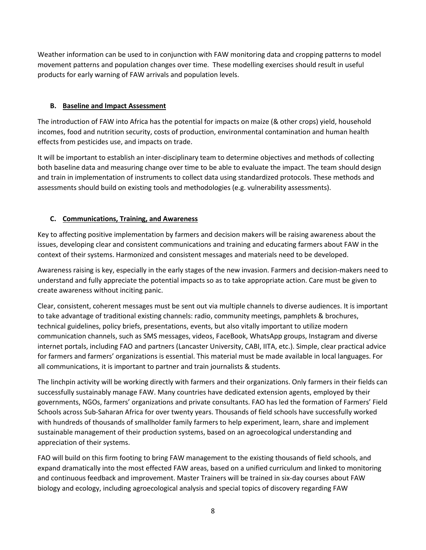Weather information can be used to in conjunction with FAW monitoring data and cropping patterns to model movement patterns and population changes over time. These modelling exercises should result in useful products for early warning of FAW arrivals and population levels.

## **B. Baseline and Impact Assessment**

The introduction of FAW into Africa has the potential for impacts on maize (& other crops) yield, household incomes, food and nutrition security, costs of production, environmental contamination and human health effects from pesticides use, and impacts on trade.

It will be important to establish an inter-disciplinary team to determine objectives and methods of collecting both baseline data and measuring change over time to be able to evaluate the impact. The team should design and train in implementation of instruments to collect data using standardized protocols. These methods and assessments should build on existing tools and methodologies (e.g. vulnerability assessments).

# **C. Communications, Training, and Awareness**

Key to affecting positive implementation by farmers and decision makers will be raising awareness about the issues, developing clear and consistent communications and training and educating farmers about FAW in the context of their systems. Harmonized and consistent messages and materials need to be developed.

Awareness raising is key, especially in the early stages of the new invasion. Farmers and decision-makers need to understand and fully appreciate the potential impacts so as to take appropriate action. Care must be given to create awareness without inciting panic.

Clear, consistent, coherent messages must be sent out via multiple channels to diverse audiences. It is important to take advantage of traditional existing channels: radio, community meetings, pamphlets & brochures, technical guidelines, policy briefs, presentations, events, but also vitally important to utilize modern communication channels, such as SMS messages, videos, FaceBook, WhatsApp groups, Instagram and diverse internet portals, including FAO and partners (Lancaster University, CABI, IITA, etc.). Simple, clear practical advice for farmers and farmers' organizations is essential. This material must be made available in local languages. For all communications, it is important to partner and train journalists & students.

The linchpin activity will be working directly with farmers and their organizations. Only farmers in their fields can successfully sustainably manage FAW. Many countries have dedicated extension agents, employed by their governments, NGOs, farmers' organizations and private consultants. FAO has led the formation of Farmers' Field Schools across Sub-Saharan Africa for over twenty years. Thousands of field schools have successfully worked with hundreds of thousands of smallholder family farmers to help experiment, learn, share and implement sustainable management of their production systems, based on an agroecological understanding and appreciation of their systems.

FAO will build on this firm footing to bring FAW management to the existing thousands of field schools, and expand dramatically into the most effected FAW areas, based on a unified curriculum and linked to monitoring and continuous feedback and improvement. Master Trainers will be trained in six-day courses about FAW biology and ecology, including agroecological analysis and special topics of discovery regarding FAW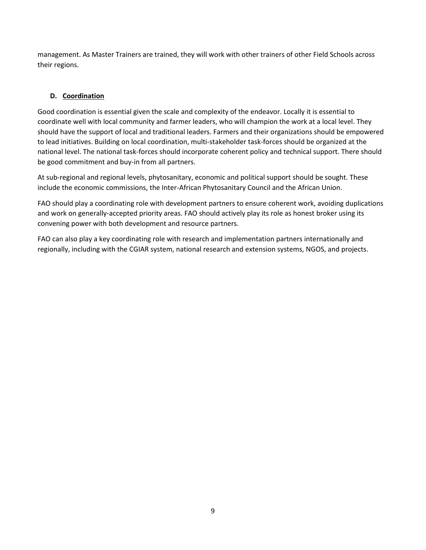management. As Master Trainers are trained, they will work with other trainers of other Field Schools across their regions.

# **D. Coordination**

Good coordination is essential given the scale and complexity of the endeavor. Locally it is essential to coordinate well with local community and farmer leaders, who will champion the work at a local level. They should have the support of local and traditional leaders. Farmers and their organizations should be empowered to lead initiatives. Building on local coordination, multi-stakeholder task-forces should be organized at the national level. The national task-forces should incorporate coherent policy and technical support. There should be good commitment and buy-in from all partners.

At sub-regional and regional levels, phytosanitary, economic and political support should be sought. These include the economic commissions, the Inter-African Phytosanitary Council and the African Union.

FAO should play a coordinating role with development partners to ensure coherent work, avoiding duplications and work on generally-accepted priority areas. FAO should actively play its role as honest broker using its convening power with both development and resource partners.

FAO can also play a key coordinating role with research and implementation partners internationally and regionally, including with the CGIAR system, national research and extension systems, NGOS, and projects.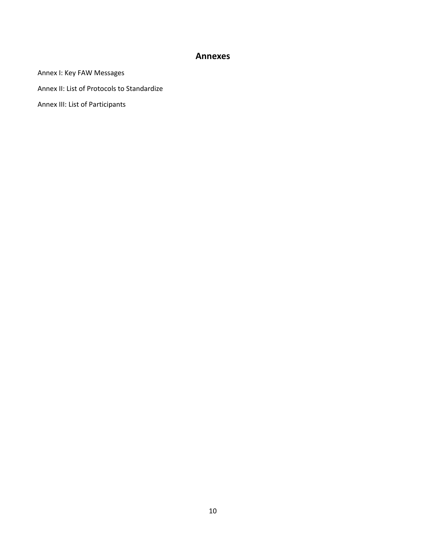# **Annexes**

Annex I: Key FAW Messages

Annex II: List of Protocols to Standardize

Annex III: List of Participants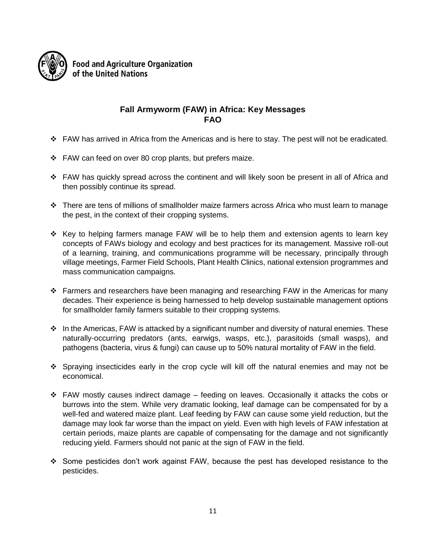

**Food and Agriculture Organization** of the United Nations

# **Fall Armyworm (FAW) in Africa: Key Messages FAO**

- FAW has arrived in Africa from the Americas and is here to stay. The pest will not be eradicated.
- FAW can feed on over 80 crop plants, but prefers maize.
- FAW has quickly spread across the continent and will likely soon be present in all of Africa and then possibly continue its spread.
- There are tens of millions of smallholder maize farmers across Africa who must learn to manage the pest, in the context of their cropping systems.
- $\div$  Key to helping farmers manage FAW will be to help them and extension agents to learn key concepts of FAWs biology and ecology and best practices for its management. Massive roll-out of a learning, training, and communications programme will be necessary, principally through village meetings, Farmer Field Schools, Plant Health Clinics, national extension programmes and mass communication campaigns.
- $\div$  Farmers and researchers have been managing and researching FAW in the Americas for many decades. Their experience is being harnessed to help develop sustainable management options for smallholder family farmers suitable to their cropping systems.
- $\cdot \cdot$  In the Americas, FAW is attacked by a significant number and diversity of natural enemies. These naturally-occurring predators (ants, earwigs, wasps, etc.), parasitoids (small wasps), and pathogens (bacteria, virus & fungi) can cause up to 50% natural mortality of FAW in the field.
- \* Spraying insecticides early in the crop cycle will kill off the natural enemies and may not be economical.
- $\div$  FAW mostly causes indirect damage feeding on leaves. Occasionally it attacks the cobs or burrows into the stem. While very dramatic looking, leaf damage can be compensated for by a well-fed and watered maize plant. Leaf feeding by FAW can cause some yield reduction, but the damage may look far worse than the impact on yield. Even with high levels of FAW infestation at certain periods, maize plants are capable of compensating for the damage and not significantly reducing yield. Farmers should not panic at the sign of FAW in the field.
- Some pesticides don't work against FAW, because the pest has developed resistance to the pesticides.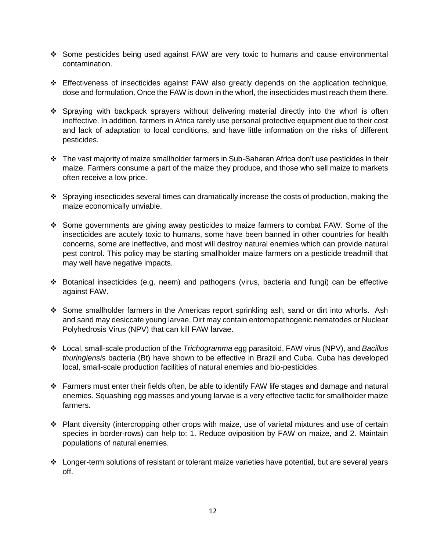- Some pesticides being used against FAW are very toxic to humans and cause environmental contamination.
- Effectiveness of insecticides against FAW also greatly depends on the application technique, dose and formulation. Once the FAW is down in the whorl, the insecticides must reach them there.
- Spraying with backpack sprayers without delivering material directly into the whorl is often ineffective. In addition, farmers in Africa rarely use personal protective equipment due to their cost and lack of adaptation to local conditions, and have little information on the risks of different pesticides.
- $\cdot \cdot$  The vast majority of maize smallholder farmers in Sub-Saharan Africa don't use pesticides in their maize. Farmers consume a part of the maize they produce, and those who sell maize to markets often receive a low price.
- Spraying insecticides several times can dramatically increase the costs of production, making the maize economically unviable.
- Some governments are giving away pesticides to maize farmers to combat FAW. Some of the insecticides are acutely toxic to humans, some have been banned in other countries for health concerns, some are ineffective, and most will destroy natural enemies which can provide natural pest control. This policy may be starting smallholder maize farmers on a pesticide treadmill that may well have negative impacts.
- Botanical insecticides (e.g. neem) and pathogens (virus, bacteria and fungi) can be effective against FAW.
- Some smallholder farmers in the Americas report sprinkling ash, sand or dirt into whorls. Ash and sand may desiccate young larvae. Dirt may contain entomopathogenic nematodes or Nuclear Polyhedrosis Virus (NPV) that can kill FAW larvae.
- Local, small-scale production of the *Trichogramma* egg parasitoid, FAW virus (NPV), and *Bacillus thuringiensis* bacteria (Bt) have shown to be effective in Brazil and Cuba. Cuba has developed local, small-scale production facilities of natural enemies and bio-pesticides.
- Farmers must enter their fields often, be able to identify FAW life stages and damage and natural enemies. Squashing egg masses and young larvae is a very effective tactic for smallholder maize farmers.
- \* Plant diversity (intercropping other crops with maize, use of varietal mixtures and use of certain species in border-rows) can help to: 1. Reduce oviposition by FAW on maize, and 2. Maintain populations of natural enemies.
- Longer-term solutions of resistant or tolerant maize varieties have potential, but are several years off.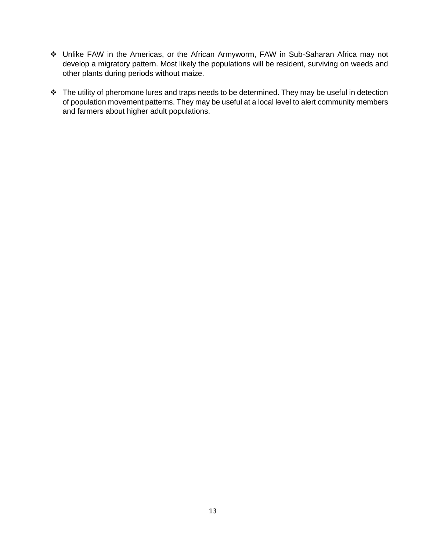- Unlike FAW in the Americas, or the African Armyworm, FAW in Sub-Saharan Africa may not develop a migratory pattern. Most likely the populations will be resident, surviving on weeds and other plants during periods without maize.
- $\cdot \cdot$  The utility of pheromone lures and traps needs to be determined. They may be useful in detection of population movement patterns. They may be useful at a local level to alert community members and farmers about higher adult populations.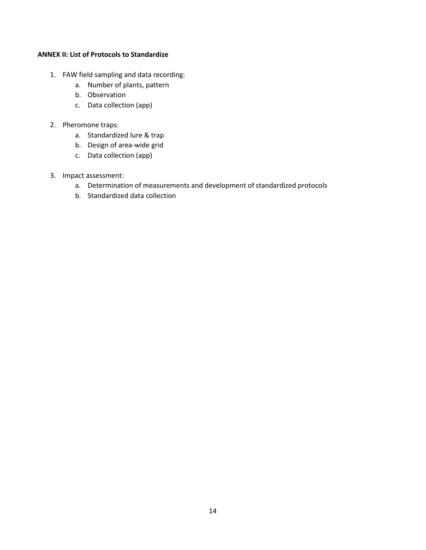#### **ANNEX II: List of Protocols to Standardize**

- 1. FAW field sampling and data recording:
	- a. Number of plants, pattern
	- b. Observation
	- c. Data collection (app)
- 2. Pheromone traps:
	- a. Standardized lure & trap
	- b. Design of area-wide grid
	- c. Data collection (app)
- 3. Impact assessment:
	- a. Determination of measurements and development of standardized protocols
	- b. Standardized data collection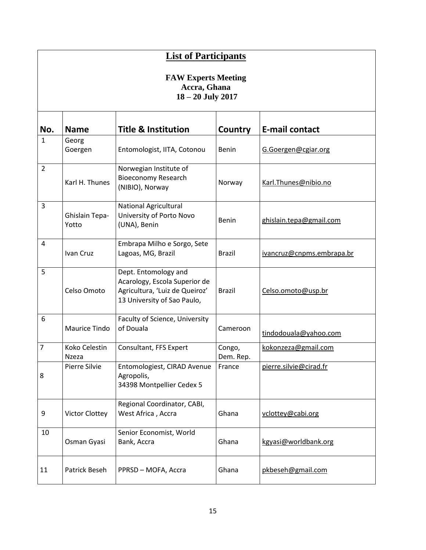| <b>List of Participants</b>                                     |                         |                                                                                                                        |                     |                           |  |
|-----------------------------------------------------------------|-------------------------|------------------------------------------------------------------------------------------------------------------------|---------------------|---------------------------|--|
| <b>FAW Experts Meeting</b><br>Accra, Ghana<br>18 - 20 July 2017 |                         |                                                                                                                        |                     |                           |  |
| No.                                                             | <b>Name</b>             | <b>Title &amp; Institution</b>                                                                                         | Country             | <b>E-mail contact</b>     |  |
| $\mathbf{1}$                                                    | Georg<br>Goergen        | Entomologist, IITA, Cotonou                                                                                            | <b>Benin</b>        | G.Goergen@cgiar.org       |  |
| $\overline{2}$                                                  | Karl H. Thunes          | Norwegian Institute of<br><b>Bioeconomy Research</b><br>(NIBIO), Norway                                                | Norway              | Karl.Thunes@nibio.no      |  |
| 3                                                               | Ghislain Tepa-<br>Yotto | <b>National Agricultural</b><br>University of Porto Novo<br>(UNA), Benin                                               | <b>Benin</b>        | ghislain.tepa@gmail.com   |  |
| 4                                                               | Ivan Cruz               | Embrapa Milho e Sorgo, Sete<br>Lagoas, MG, Brazil                                                                      | <b>Brazil</b>       | ivancruz@cnpms.embrapa.br |  |
| 5                                                               | Celso Omoto             | Dept. Entomology and<br>Acarology, Escola Superior de<br>Agricultura, 'Luiz de Queiroz'<br>13 University of Sao Paulo, | <b>Brazil</b>       | Celso.omoto@usp.br        |  |
| 6                                                               | Maurice Tindo           | Faculty of Science, University<br>of Douala                                                                            | Cameroon            | tindodouala@yahoo.com     |  |
| $\overline{7}$                                                  | Koko Celestin<br>Nzeza  | Consultant, FFS Expert                                                                                                 | Congo,<br>Dem. Rep. | kokonzeza@gmail.com       |  |
| 8                                                               | Pierre Silvie           | Entomologiest, CIRAD Avenue<br>Agropolis,<br>34398 Montpellier Cedex 5                                                 | France              | pierre.silvie@cirad.fr    |  |
| 9                                                               | <b>Victor Clottey</b>   | Regional Coordinator, CABI,<br>West Africa, Accra                                                                      | Ghana               | vclottey@cabi.org         |  |
| 10                                                              | Osman Gyasi             | Senior Economist, World<br>Bank, Accra                                                                                 | Ghana               | kgyasi@worldbank.org      |  |
| 11                                                              | Patrick Beseh           | PPRSD - MOFA, Accra                                                                                                    | Ghana               | pkbeseh@gmail.com         |  |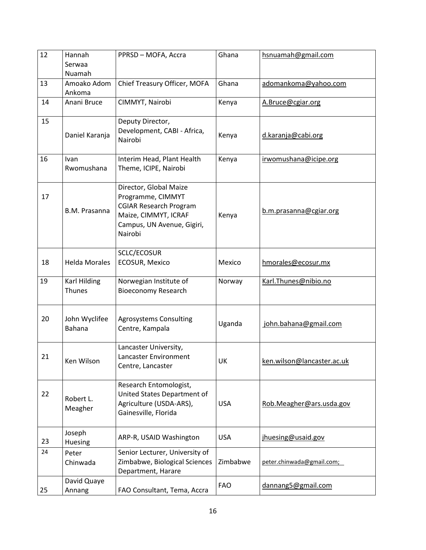| 12 | Hannah<br>Serwaa<br>Nuamah     | PPRSD - MOFA, Accra                                                                                                                           | Ghana      | hsnuamah@gmail.com         |
|----|--------------------------------|-----------------------------------------------------------------------------------------------------------------------------------------------|------------|----------------------------|
| 13 | Amoako Adom<br>Ankoma          | Chief Treasury Officer, MOFA                                                                                                                  | Ghana      | adomankoma@yahoo.com       |
| 14 | Anani Bruce                    | CIMMYT, Nairobi                                                                                                                               | Kenya      | A.Bruce@cgiar.org          |
| 15 | Daniel Karanja                 | Deputy Director,<br>Development, CABI - Africa,<br>Nairobi                                                                                    | Kenya      | d.karanja@cabi.org         |
| 16 | Ivan<br>Rwomushana             | Interim Head, Plant Health<br>Theme, ICIPE, Nairobi                                                                                           | Kenya      | irwomushana@icipe.org      |
| 17 | B.M. Prasanna                  | Director, Global Maize<br>Programme, CIMMYT<br><b>CGIAR Research Program</b><br>Maize, CIMMYT, ICRAF<br>Campus, UN Avenue, Gigiri,<br>Nairobi | Kenya      | b.m.prasanna@cgiar.org     |
| 18 | <b>Helda Morales</b>           | <b>SCLC/ECOSUR</b><br><b>ECOSUR, Mexico</b>                                                                                                   | Mexico     | hmorales@ecosur.mx         |
| 19 | Karl Hilding<br>Thunes         | Norwegian Institute of<br><b>Bioeconomy Research</b>                                                                                          | Norway     | Karl.Thunes@nibio.no       |
| 20 | John Wyclifee<br><b>Bahana</b> | <b>Agrosystems Consulting</b><br>Centre, Kampala                                                                                              | Uganda     | john.bahana@gmail.com      |
| 21 | Ken Wilson                     | Lancaster University,<br>Lancaster Environment<br>Centre, Lancaster                                                                           | UK         | ken.wilson@lancaster.ac.uk |
| 22 | Robert L.<br>Meagher           | Research Entomologist,<br>United States Department of<br>Agriculture (USDA-ARS),<br>Gainesville, Florida                                      | <b>USA</b> | Rob.Meagher@ars.usda.gov   |
| 23 | Joseph<br>Huesing              | ARP-R, USAID Washington                                                                                                                       | <b>USA</b> | jhuesing@usaid.gov         |
| 24 | Peter<br>Chinwada              | Senior Lecturer, University of<br>Zimbabwe, Biological Sciences<br>Department, Harare                                                         | Zimbabwe   | peter.chinwada@gmail.com;  |
| 25 | David Quaye<br>Annang          | FAO Consultant, Tema, Accra                                                                                                                   | <b>FAO</b> | dannang5@gmail.com         |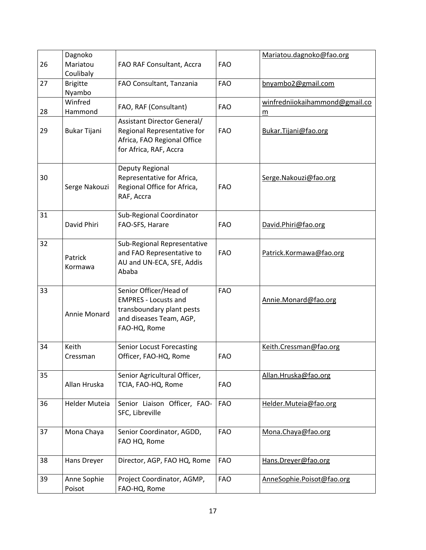| 26 | Dagnoko<br>Mariatou<br>Coulibaly | FAO RAF Consultant, Accra                                                                                                     | <b>FAO</b> | Mariatou.dagnoko@fao.org            |
|----|----------------------------------|-------------------------------------------------------------------------------------------------------------------------------|------------|-------------------------------------|
| 27 | <b>Brigitte</b><br>Nyambo        | FAO Consultant, Tanzania                                                                                                      | <b>FAO</b> | bnyambo2@gmail.com                  |
| 28 | Winfred<br>Hammond               | FAO, RAF (Consultant)                                                                                                         | <b>FAO</b> | winfredniiokaihammond@gmail.co<br>m |
| 29 | Bukar Tijani                     | <b>Assistant Director General/</b><br>Regional Representative for<br>Africa, FAO Regional Office<br>for Africa, RAF, Accra    | <b>FAO</b> | Bukar.Tijani@fao.org                |
| 30 | Serge Nakouzi                    | Deputy Regional<br>Representative for Africa,<br>Regional Office for Africa,<br>RAF, Accra                                    | <b>FAO</b> | Serge.Nakouzi@fao.org               |
| 31 | David Phiri                      | Sub-Regional Coordinator<br>FAO-SFS, Harare                                                                                   | <b>FAO</b> | David.Phiri@fao.org                 |
| 32 | Patrick<br>Kormawa               | Sub-Regional Representative<br>and FAO Representative to<br>AU and UN-ECA, SFE, Addis<br>Ababa                                | <b>FAO</b> | Patrick.Kormawa@fao.org             |
| 33 | Annie Monard                     | Senior Officer/Head of<br><b>EMPRES - Locusts and</b><br>transboundary plant pests<br>and diseases Team, AGP,<br>FAO-HQ, Rome | <b>FAO</b> | Annie.Monard@fao.org                |
| 34 | Keith<br>Cressman                | <b>Senior Locust Forecasting</b><br>Officer, FAO-HQ, Rome                                                                     | <b>FAO</b> | Keith.Cressman@fao.org              |
| 35 | Allan Hruska                     | Senior Agricultural Officer,<br>TCIA, FAO-HQ, Rome                                                                            | <b>FAO</b> | Allan.Hruska@fao.org                |
| 36 | <b>Helder Muteia</b>             | Senior Liaison Officer, FAO-<br>SFC, Libreville                                                                               | <b>FAO</b> | Helder.Muteia@fao.org               |
| 37 | Mona Chaya                       | Senior Coordinator, AGDD,<br>FAO HQ, Rome                                                                                     | <b>FAO</b> | Mona.Chaya@fao.org                  |
| 38 | Hans Dreyer                      | Director, AGP, FAO HQ, Rome                                                                                                   | <b>FAO</b> | Hans.Dreyer@fao.org                 |
| 39 | Anne Sophie<br>Poisot            | Project Coordinator, AGMP,<br>FAO-HQ, Rome                                                                                    | <b>FAO</b> | AnneSophie.Poisot@fao.org           |